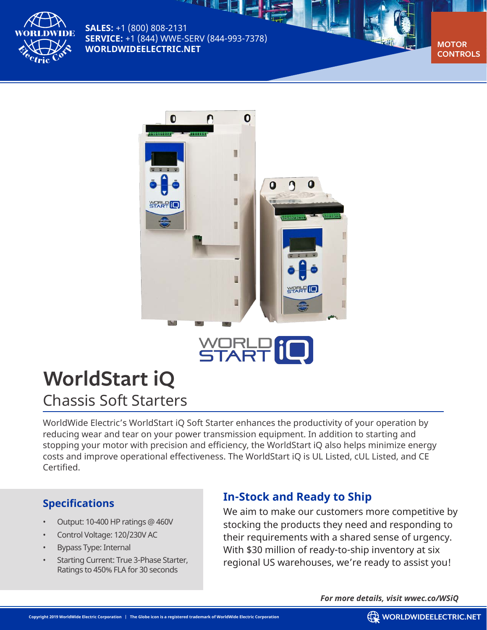

**SALES:** +1 (800) 808-2131 **SERVICE:** +1 (844) WWE-SERV (844-993-7378) **WORLDWIDEELECTRIC.NET** 





# WORLP IO

## **WorldStart iQ**

Chassis Soft Starters

WorldWide Electric's WorldStart iQ Soft Starter enhances the productivity of your operation by reducing wear and tear on your power transmission equipment. In addition to starting and stopping your motor with precision and efficiency, the WorldStart iQ also helps minimize energy costs and improve operational effectiveness. The WorldStart iQ is UL Listed, cUL Listed, and CE Certified.

#### **Specifications**

- Output: 10-400 HP ratings @ 460V
- Control Voltage: 120/230V AC
- Bypass Type: Internal
- Starting Current: True 3-Phase Starter, Ratings to 450% FLA for 30 seconds

### **In-Stock and Ready to Ship**

We aim to make our customers more competitive by stocking the products they need and responding to their requirements with a shared sense of urgency. With \$30 million of ready-to-ship inventory at six regional US warehouses, we're ready to assist you!

*For more details, visit wwec.co/WSiQ*